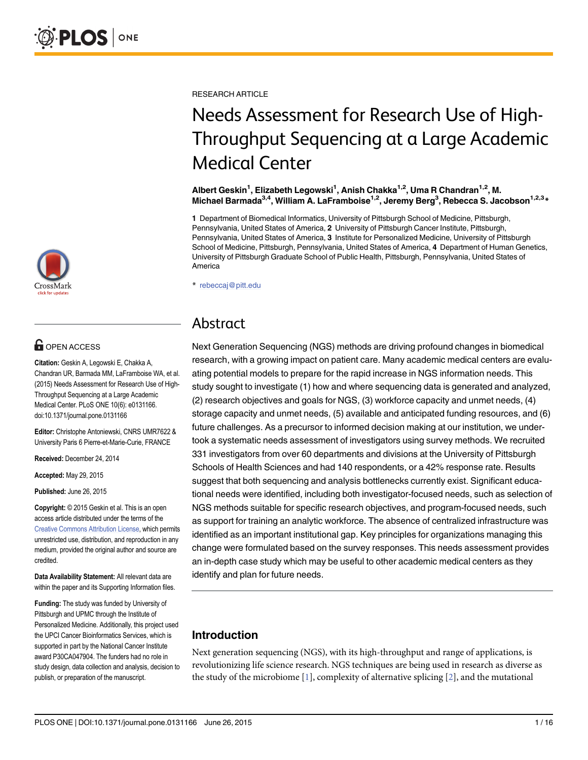

# **G** OPEN ACCESS

Citation: Geskin A, Legowski E, Chakka A, Chandran UR, Barmada MM, LaFramboise WA, et al. (2015) Needs Assessment for Research Use of High-Throughput Sequencing at a Large Academic Medical Center. PLoS ONE 10(6): e0131166. doi:10.1371/journal.pone.0131166

Editor: Christophe Antoniewski, CNRS UMR7622 & University Paris 6 Pierre-et-Marie-Curie, FRANCE

Received: December 24, 2014

Accepted: May 29, 2015

Published: June 26, 2015

Copyright: © 2015 Geskin et al. This is an open access article distributed under the terms of the [Creative Commons Attribution License,](http://creativecommons.org/licenses/by/4.0/) which permits unrestricted use, distribution, and reproduction in any medium, provided the original author and source are credited.

Data Availability Statement: All relevant data are within the paper and its Supporting Information files.

Funding: The study was funded by University of Pittsburgh and UPMC through the Institute of Personalized Medicine. Additionally, this project used the UPCI Cancer Bioinformatics Services, which is supported in part by the National Cancer Institute award P30CA047904. The funders had no role in study design, data collection and analysis, decision to publish, or preparation of the manuscript.

<span id="page-0-0"></span>RESEARCH ARTICLE

# Needs Assessment for Research Use of High-Throughput Sequencing at a Large Academic Medical Center

Albert Geskin<sup>1</sup>, Elizabeth Legowski<sup>1</sup>, Anish Chakka<sup>1,2</sup>, Uma R Chandran<sup>1,2</sup>, M. Michael Barmada<sup>3,4</sup>, William A. LaFramboise<sup>1,2</sup>, Jeremy Berg<sup>3</sup>, Rebecca S. Jacobson<sup>1,2,3</sup>\*

1 Department of Biomedical Informatics, University of Pittsburgh School of Medicine, Pittsburgh, Pennsylvania, United States of America, 2 University of Pittsburgh Cancer Institute, Pittsburgh, Pennsylvania, United States of America, 3 Institute for Personalized Medicine, University of Pittsburgh School of Medicine, Pittsburgh, Pennsylvania, United States of America, 4 Department of Human Genetics, University of Pittsburgh Graduate School of Public Health, Pittsburgh, Pennsylvania, United States of America

\* rebeccaj@pitt.edu

# Abstract

Next Generation Sequencing (NGS) methods are driving profound changes in biomedical research, with a growing impact on patient care. Many academic medical centers are evaluating potential models to prepare for the rapid increase in NGS information needs. This study sought to investigate (1) how and where sequencing data is generated and analyzed, (2) research objectives and goals for NGS, (3) workforce capacity and unmet needs, (4) storage capacity and unmet needs, (5) available and anticipated funding resources, and (6) future challenges. As a precursor to informed decision making at our institution, we undertook a systematic needs assessment of investigators using survey methods. We recruited 331 investigators from over 60 departments and divisions at the University of Pittsburgh Schools of Health Sciences and had 140 respondents, or a 42% response rate. Results suggest that both sequencing and analysis bottlenecks currently exist. Significant educational needs were identified, including both investigator-focused needs, such as selection of NGS methods suitable for specific research objectives, and program-focused needs, such as support for training an analytic workforce. The absence of centralized infrastructure was identified as an important institutional gap. Key principles for organizations managing this change were formulated based on the survey responses. This needs assessment provides an in-depth case study which may be useful to other academic medical centers as they identify and plan for future needs.

# Introduction

Next generation sequencing (NGS), with its high-throughput and range of applications, is revolutionizing life science research. NGS techniques are being used in research as diverse as the study of the microbiome  $[1]$  $[1]$  $[1]$ , complexity of alternative splicing  $[2]$ , and the mutational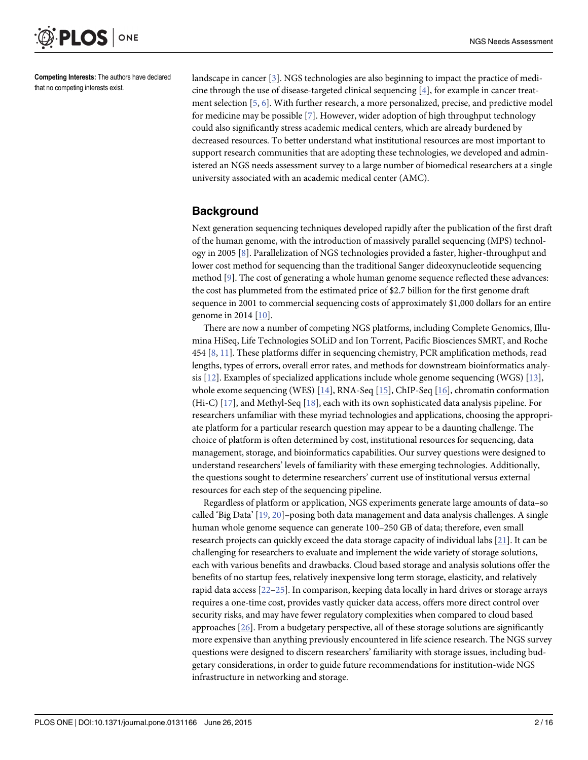<span id="page-1-0"></span>

Competing Interests: The authors have declared that no competing interests exist.

landscape in cancer [\[3\]](#page-14-0). NGS technologies are also beginning to impact the practice of medicine through the use of disease-targeted clinical sequencing  $[4]$  $[4]$ , for example in cancer treatment selection  $[5, 6]$  $[5, 6]$  $[5, 6]$  $[5, 6]$ . With further research, a more personalized, precise, and predictive model for medicine may be possible [[7](#page-14-0)]. However, wider adoption of high throughput technology could also significantly stress academic medical centers, which are already burdened by decreased resources. To better understand what institutional resources are most important to support research communities that are adopting these technologies, we developed and administered an NGS needs assessment survey to a large number of biomedical researchers at a single university associated with an academic medical center (AMC).

# **Background**

Next generation sequencing techniques developed rapidly after the publication of the first draft of the human genome, with the introduction of massively parallel sequencing (MPS) technology in 2005 [\[8](#page-14-0)]. Parallelization of NGS technologies provided a faster, higher-throughput and lower cost method for sequencing than the traditional Sanger dideoxynucleotide sequencing method [[9](#page-14-0)]. The cost of generating a whole human genome sequence reflected these advances: the cost has plummeted from the estimated price of \$2.7 billion for the first genome draft sequence in 2001 to commercial sequencing costs of approximately \$1,000 dollars for an entire genome in 2014 [[10](#page-14-0)].

There are now a number of competing NGS platforms, including Complete Genomics, Illumina HiSeq, Life Technologies SOLiD and Ion Torrent, Pacific Biosciences SMRT, and Roche 454 [[8,](#page-14-0) [11\]](#page-14-0). These platforms differ in sequencing chemistry, PCR amplification methods, read lengths, types of errors, overall error rates, and methods for downstream bioinformatics analysis  $[12]$  $[12]$  $[12]$ . Examples of specialized applications include whole genome sequencing (WGS)  $[13]$  $[13]$ , whole exome sequencing (WES) [[14](#page-14-0)], RNA-Seq [[15](#page-14-0)], ChIP-Seq [\[16\]](#page-14-0), chromatin conformation (Hi-C) [[17](#page-14-0)], and Methyl-Seq [\[18\]](#page-14-0), each with its own sophisticated data analysis pipeline. For researchers unfamiliar with these myriad technologies and applications, choosing the appropriate platform for a particular research question may appear to be a daunting challenge. The choice of platform is often determined by cost, institutional resources for sequencing, data management, storage, and bioinformatics capabilities. Our survey questions were designed to understand researchers' levels of familiarity with these emerging technologies. Additionally, the questions sought to determine researchers' current use of institutional versus external resources for each step of the sequencing pipeline.

Regardless of platform or application, NGS experiments generate large amounts of data–so called 'Big Data' [\[19](#page-14-0), [20](#page-14-0)]–posing both data management and data analysis challenges. A single human whole genome sequence can generate 100–250 GB of data; therefore, even small research projects can quickly exceed the data storage capacity of individual labs [\[21\]](#page-14-0). It can be challenging for researchers to evaluate and implement the wide variety of storage solutions, each with various benefits and drawbacks. Cloud based storage and analysis solutions offer the benefits of no startup fees, relatively inexpensive long term storage, elasticity, and relatively rapid data access [\[22](#page-14-0)–[25\]](#page-15-0). In comparison, keeping data locally in hard drives or storage arrays requires a one-time cost, provides vastly quicker data access, offers more direct control over security risks, and may have fewer regulatory complexities when compared to cloud based approaches  $[26]$  $[26]$  $[26]$ . From a budgetary perspective, all of these storage solutions are significantly more expensive than anything previously encountered in life science research. The NGS survey questions were designed to discern researchers' familiarity with storage issues, including budgetary considerations, in order to guide future recommendations for institution-wide NGS infrastructure in networking and storage.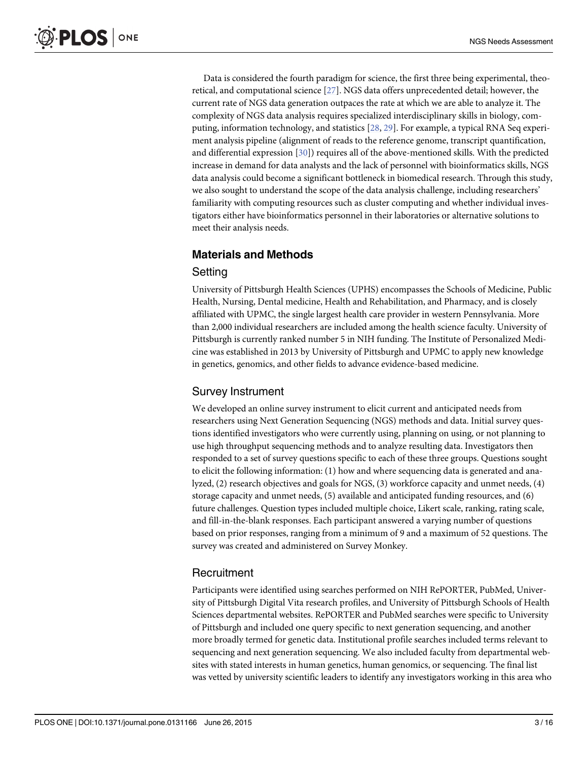<span id="page-2-0"></span>Data is considered the fourth paradigm for science, the first three being experimental, theoretical, and computational science [\[27\]](#page-15-0). NGS data offers unprecedented detail; however, the current rate of NGS data generation outpaces the rate at which we are able to analyze it. The complexity of NGS data analysis requires specialized interdisciplinary skills in biology, computing, information technology, and statistics [[28](#page-15-0), [29](#page-15-0)]. For example, a typical RNA Seq experiment analysis pipeline (alignment of reads to the reference genome, transcript quantification, and differential expression [[30](#page-15-0)]) requires all of the above-mentioned skills. With the predicted increase in demand for data analysts and the lack of personnel with bioinformatics skills, NGS data analysis could become a significant bottleneck in biomedical research. Through this study, we also sought to understand the scope of the data analysis challenge, including researchers' familiarity with computing resources such as cluster computing and whether individual investigators either have bioinformatics personnel in their laboratories or alternative solutions to meet their analysis needs.

# Materials and Methods

#### Setting

University of Pittsburgh Health Sciences (UPHS) encompasses the Schools of Medicine, Public Health, Nursing, Dental medicine, Health and Rehabilitation, and Pharmacy, and is closely affiliated with UPMC, the single largest health care provider in western Pennsylvania. More than 2,000 individual researchers are included among the health science faculty. University of Pittsburgh is currently ranked number 5 in NIH funding. The Institute of Personalized Medicine was established in 2013 by University of Pittsburgh and UPMC to apply new knowledge in genetics, genomics, and other fields to advance evidence-based medicine.

#### Survey Instrument

We developed an online survey instrument to elicit current and anticipated needs from researchers using Next Generation Sequencing (NGS) methods and data. Initial survey questions identified investigators who were currently using, planning on using, or not planning to use high throughput sequencing methods and to analyze resulting data. Investigators then responded to a set of survey questions specific to each of these three groups. Questions sought to elicit the following information: (1) how and where sequencing data is generated and analyzed, (2) research objectives and goals for NGS, (3) workforce capacity and unmet needs, (4) storage capacity and unmet needs, (5) available and anticipated funding resources, and (6) future challenges. Question types included multiple choice, Likert scale, ranking, rating scale, and fill-in-the-blank responses. Each participant answered a varying number of questions based on prior responses, ranging from a minimum of 9 and a maximum of 52 questions. The survey was created and administered on Survey Monkey.

#### **Recruitment**

Participants were identified using searches performed on NIH RePORTER, PubMed, University of Pittsburgh Digital Vita research profiles, and University of Pittsburgh Schools of Health Sciences departmental websites. RePORTER and PubMed searches were specific to University of Pittsburgh and included one query specific to next generation sequencing, and another more broadly termed for genetic data. Institutional profile searches included terms relevant to sequencing and next generation sequencing. We also included faculty from departmental websites with stated interests in human genetics, human genomics, or sequencing. The final list was vetted by university scientific leaders to identify any investigators working in this area who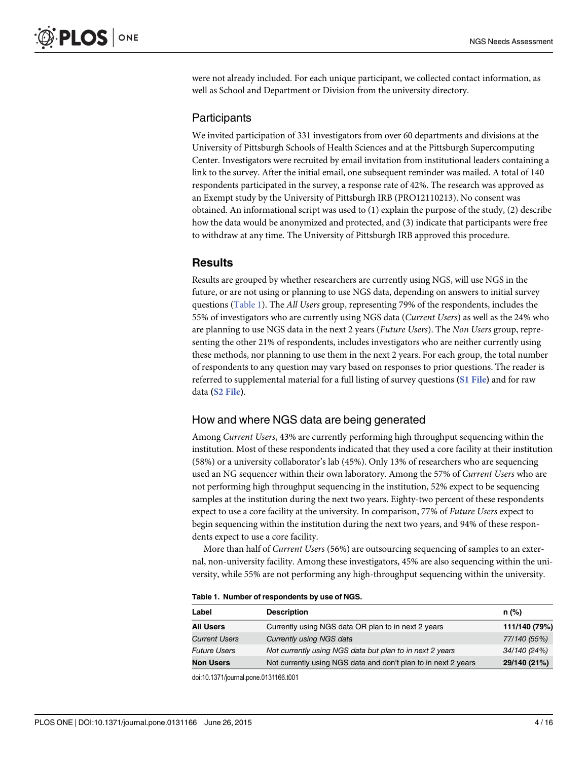were not already included. For each unique participant, we collected contact information, as well as School and Department or Division from the university directory.

#### Participants

We invited participation of 331 investigators from over 60 departments and divisions at the University of Pittsburgh Schools of Health Sciences and at the Pittsburgh Supercomputing Center. Investigators were recruited by email invitation from institutional leaders containing a link to the survey. After the initial email, one subsequent reminder was mailed. A total of 140 respondents participated in the survey, a response rate of 42%. The research was approved as an Exempt study by the University of Pittsburgh IRB (PRO12110213). No consent was obtained. An informational script was used to (1) explain the purpose of the study, (2) describe how the data would be anonymized and protected, and (3) indicate that participants were free to withdraw at any time. The University of Pittsburgh IRB approved this procedure.

#### **Results**

Results are grouped by whether researchers are currently using NGS, will use NGS in the future, or are not using or planning to use NGS data, depending on answers to initial survey questions (Table 1). The All Users group, representing 79% of the respondents, includes the 55% of investigators who are currently using NGS data (Current Users) as well as the 24% who are planning to use NGS data in the next 2 years (Future Users). The Non Users group, representing the other 21% of respondents, includes investigators who are neither currently using these methods, nor planning to use them in the next 2 years. For each group, the total number of respondents to any question may vary based on responses to prior questions. The reader is referred to supplemental material for a full listing of survey questions ([S1 File](#page-13-0)) and for raw data ([S2 File](#page-13-0)).

#### How and where NGS data are being generated

Among Current Users, 43% are currently performing high throughput sequencing within the institution. Most of these respondents indicated that they used a core facility at their institution (58%) or a university collaborator's lab (45%). Only 13% of researchers who are sequencing used an NG sequencer within their own laboratory. Among the 57% of Current Users who are not performing high throughput sequencing in the institution, 52% expect to be sequencing samples at the institution during the next two years. Eighty-two percent of these respondents expect to use a core facility at the university. In comparison, 77% of Future Users expect to begin sequencing within the institution during the next two years, and 94% of these respondents expect to use a core facility.

More than half of Current Users (56%) are outsourcing sequencing of samples to an external, non-university facility. Among these investigators, 45% are also sequencing within the university, while 55% are not performing any high-throughput sequencing within the university.

|  |  |  | Table 1. Number of respondents by use of NGS. |  |  |  |  |
|--|--|--|-----------------------------------------------|--|--|--|--|
|--|--|--|-----------------------------------------------|--|--|--|--|

| Label                | <b>Description</b>                                             | $n$ (%)       |
|----------------------|----------------------------------------------------------------|---------------|
| <b>All Users</b>     | Currently using NGS data OR plan to in next 2 years            | 111/140 (79%) |
| <b>Current Users</b> | Currently using NGS data                                       | 77/140 (55%)  |
| <b>Future Users</b>  | Not currently using NGS data but plan to in next 2 years       | 34/140 (24%)  |
| <b>Non Users</b>     | Not currently using NGS data and don't plan to in next 2 years | 29/140 (21%)  |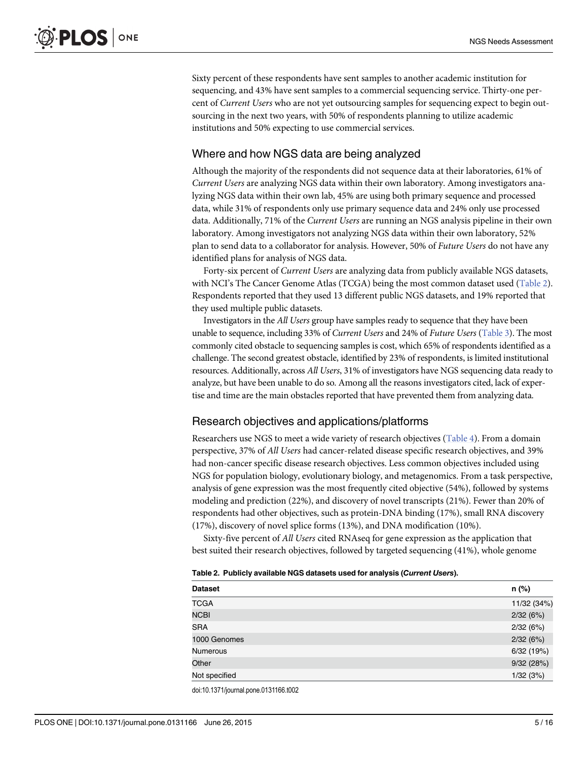<span id="page-4-0"></span>Sixty percent of these respondents have sent samples to another academic institution for sequencing, and 43% have sent samples to a commercial sequencing service. Thirty-one percent of Current Users who are not yet outsourcing samples for sequencing expect to begin outsourcing in the next two years, with 50% of respondents planning to utilize academic institutions and 50% expecting to use commercial services.

#### Where and how NGS data are being analyzed

Although the majority of the respondents did not sequence data at their laboratories, 61% of Current Users are analyzing NGS data within their own laboratory. Among investigators analyzing NGS data within their own lab, 45% are using both primary sequence and processed data, while 31% of respondents only use primary sequence data and 24% only use processed data. Additionally, 71% of the Current Users are running an NGS analysis pipeline in their own laboratory. Among investigators not analyzing NGS data within their own laboratory, 52% plan to send data to a collaborator for analysis. However, 50% of Future Users do not have any identified plans for analysis of NGS data.

Forty-six percent of Current Users are analyzing data from publicly available NGS datasets, with NCI's The Cancer Genome Atlas (TCGA) being the most common dataset used (Table 2). Respondents reported that they used 13 different public NGS datasets, and 19% reported that they used multiple public datasets.

Investigators in the All Users group have samples ready to sequence that they have been unable to sequence, including 33% of Current Users and 24% of Future Users ([Table 3](#page-5-0)). The most commonly cited obstacle to sequencing samples is cost, which 65% of respondents identified as a challenge. The second greatest obstacle, identified by 23% of respondents, is limited institutional resources. Additionally, across All Users, 31% of investigators have NGS sequencing data ready to analyze, but have been unable to do so. Among all the reasons investigators cited, lack of expertise and time are the main obstacles reported that have prevented them from analyzing data.

#### Research objectives and applications/platforms

Researchers use NGS to meet a wide variety of research objectives ([Table 4\)](#page-5-0). From a domain perspective, 37% of All Users had cancer-related disease specific research objectives, and 39% had non-cancer specific disease research objectives. Less common objectives included using NGS for population biology, evolutionary biology, and metagenomics. From a task perspective, analysis of gene expression was the most frequently cited objective (54%), followed by systems modeling and prediction (22%), and discovery of novel transcripts (21%). Fewer than 20% of respondents had other objectives, such as protein-DNA binding (17%), small RNA discovery (17%), discovery of novel splice forms (13%), and DNA modification (10%).

Sixty-five percent of All Users cited RNAseq for gene expression as the application that best suited their research objectives, followed by targeted sequencing (41%), whole genome

|  |  | Table 2. Publicly available NGS datasets used for analysis (Current Users). |  |  |  |  |  |  |
|--|--|-----------------------------------------------------------------------------|--|--|--|--|--|--|
|--|--|-----------------------------------------------------------------------------|--|--|--|--|--|--|

| <b>Dataset</b>  | n (%)       |
|-----------------|-------------|
| <b>TCGA</b>     | 11/32 (34%) |
| <b>NCBI</b>     | 2/32(6%)    |
| <b>SRA</b>      | 2/32(6%)    |
| 1000 Genomes    | 2/32(6%)    |
| <b>Numerous</b> | 6/32 (19%)  |
| Other           | 9/32 (28%)  |
| Not specified   | 1/32(3%)    |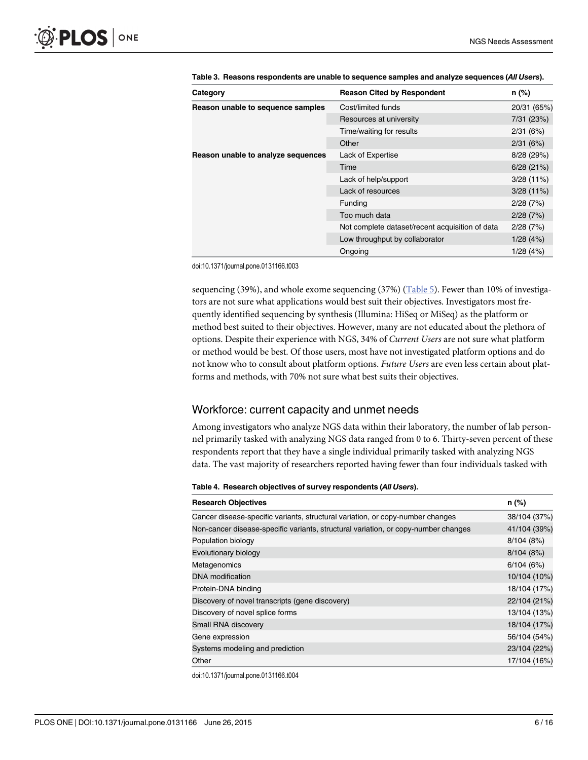| Category                           | <b>Reason Cited by Respondent</b>               | n (%)        |
|------------------------------------|-------------------------------------------------|--------------|
| Reason unable to sequence samples  | Cost/limited funds                              | 20/31 (65%)  |
|                                    | Resources at university                         | 7/31 (23%)   |
|                                    | Time/waiting for results                        | 2/31(6%)     |
|                                    | Other                                           | 2/31(6%)     |
| Reason unable to analyze sequences | Lack of Expertise                               | 8/28 (29%)   |
|                                    | Time                                            | 6/28(21%)    |
|                                    | Lack of help/support                            | $3/28(11\%)$ |
|                                    | Lack of resources                               | 3/28(11%)    |
|                                    | Funding                                         | 2/28(7%)     |
|                                    | Too much data                                   | 2/28(7%)     |
|                                    | Not complete dataset/recent acquisition of data | 2/28(7%)     |
|                                    | Low throughput by collaborator                  | 1/28(4%)     |
|                                    | Ongoing                                         | 1/28(4%)     |

<span id="page-5-0"></span>[Table 3.](#page-4-0) Reasons respondents are unable to sequence samples and analyze sequences (All Users).

doi:10.1371/journal.pone.0131166.t003

sequencing (39%), and whole exome sequencing (37%) ( $Table 5$ ). Fewer than 10% of investigators are not sure what applications would best suit their objectives. Investigators most frequently identified sequencing by synthesis (Illumina: HiSeq or MiSeq) as the platform or method best suited to their objectives. However, many are not educated about the plethora of options. Despite their experience with NGS, 34% of Current Users are not sure what platform or method would be best. Of those users, most have not investigated platform options and do not know who to consult about platform options. Future Users are even less certain about platforms and methods, with 70% not sure what best suits their objectives.

#### Workforce: current capacity and unmet needs

Among investigators who analyze NGS data within their laboratory, the number of lab personnel primarily tasked with analyzing NGS data ranged from 0 to 6. Thirty-seven percent of these respondents report that they have a single individual primarily tasked with analyzing NGS data. The vast majority of researchers reported having fewer than four individuals tasked with

#### [Table 4.](#page-4-0) Research objectives of survey respondents (All Users).

| <b>Research Objectives</b>                                                         | $n$ (%)      |
|------------------------------------------------------------------------------------|--------------|
| Cancer disease-specific variants, structural variation, or copy-number changes     | 38/104 (37%) |
| Non-cancer disease-specific variants, structural variation, or copy-number changes | 41/104 (39%) |
| Population biology                                                                 | 8/104(8%)    |
| Evolutionary biology                                                               | 8/104(8%)    |
| Metagenomics                                                                       | 6/104(6%)    |
| <b>DNA</b> modification                                                            | 10/104 (10%) |
| Protein-DNA binding                                                                | 18/104 (17%) |
| Discovery of novel transcripts (gene discovery)                                    | 22/104 (21%) |
| Discovery of novel splice forms                                                    | 13/104 (13%) |
| Small RNA discovery                                                                | 18/104 (17%) |
| Gene expression                                                                    | 56/104 (54%) |
| Systems modeling and prediction                                                    | 23/104 (22%) |
| Other                                                                              | 17/104 (16%) |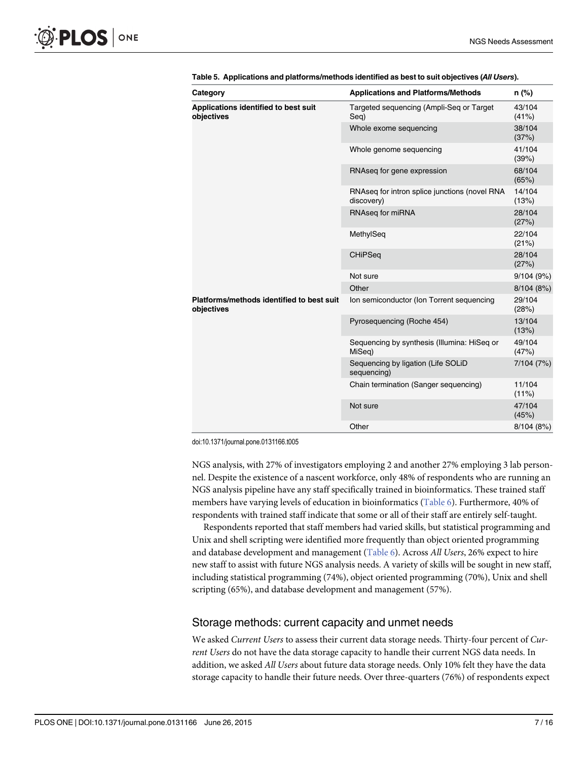<span id="page-6-0"></span>

| Category                                                | <b>Applications and Platforms/Methods</b>                   | n (%)              |
|---------------------------------------------------------|-------------------------------------------------------------|--------------------|
| Applications identified to best suit<br>objectives      | Targeted sequencing (Ampli-Seq or Target<br>Seg)            | 43/104<br>(41%)    |
|                                                         | Whole exome sequencing                                      | 38/104<br>(37%)    |
|                                                         | Whole genome sequencing                                     | 41/104<br>(39%)    |
|                                                         | RNAseq for gene expression                                  | 68/104<br>(65%)    |
|                                                         | RNAseq for intron splice junctions (novel RNA<br>discovery) | 14/104<br>(13%)    |
|                                                         | RNAseq for miRNA                                            | 28/104<br>(27%)    |
|                                                         | MethylSeq                                                   | 22/104<br>(21%)    |
|                                                         | <b>CHiPSeq</b>                                              | 28/104<br>(27%)    |
|                                                         | Not sure                                                    | 9/104(9%)          |
|                                                         | Other                                                       | 8/104 (8%)         |
| Platforms/methods identified to best suit<br>objectives | Ion semiconductor (Ion Torrent sequencing                   | 29/104<br>(28%)    |
|                                                         | Pyrosequencing (Roche 454)                                  | 13/104<br>(13%)    |
|                                                         | Sequencing by synthesis (Illumina: HiSeq or<br>MiSeq)       | 49/104<br>(47%)    |
|                                                         | Sequencing by ligation (Life SOLiD<br>sequencing)           | 7/104 (7%)         |
|                                                         | Chain termination (Sanger sequencing)                       | 11/104<br>$(11\%)$ |
|                                                         | Not sure                                                    | 47/104<br>(45%)    |
|                                                         | Other                                                       | 8/104(8%)          |

|  | Table 5. Applications and platforms/methods identified as best to suit objectives (All Users). |  |  |
|--|------------------------------------------------------------------------------------------------|--|--|
|  |                                                                                                |  |  |

doi:10.1371/journal.pone.0131166.t005

NGS analysis, with 27% of investigators employing 2 and another 27% employing 3 lab personnel. Despite the existence of a nascent workforce, only 48% of respondents who are running an NGS analysis pipeline have any staff specifically trained in bioinformatics. These trained staff members have varying levels of education in bioinformatics [\(Table 6](#page-7-0)). Furthermore, 40% of respondents with trained staff indicate that some or all of their staff are entirely self-taught.

Respondents reported that staff members had varied skills, but statistical programming and Unix and shell scripting were identified more frequently than object oriented programming and database development and management [\(Table 6](#page-7-0)). Across All Users, 26% expect to hire new staff to assist with future NGS analysis needs. A variety of skills will be sought in new staff, including statistical programming (74%), object oriented programming (70%), Unix and shell scripting (65%), and database development and management (57%).

#### Storage methods: current capacity and unmet needs

We asked Current Users to assess their current data storage needs. Thirty-four percent of Current Users do not have the data storage capacity to handle their current NGS data needs. In addition, we asked All Users about future data storage needs. Only 10% felt they have the data storage capacity to handle their future needs. Over three-quarters (76%) of respondents expect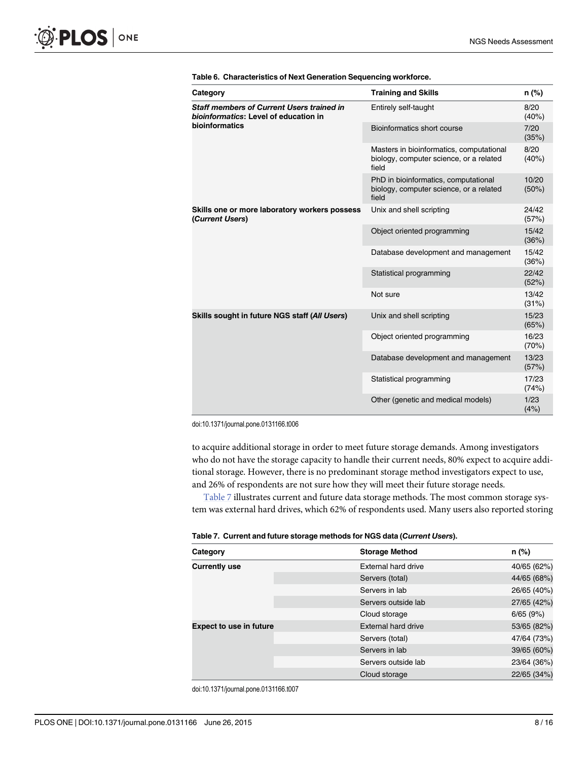<span id="page-7-0"></span>

| Category                                                                                  | <b>Training and Skills</b>                                                                   | n (%)          |
|-------------------------------------------------------------------------------------------|----------------------------------------------------------------------------------------------|----------------|
| <b>Staff members of Current Users trained in</b><br>bioinformatics: Level of education in | Entirely self-taught                                                                         | 8/20<br>(40%)  |
| bioinformatics                                                                            | Bioinformatics short course                                                                  | 7/20<br>(35%)  |
|                                                                                           | Masters in bioinformatics, computational<br>biology, computer science, or a related<br>field | 8/20<br>(40%)  |
|                                                                                           | PhD in bioinformatics, computational<br>biology, computer science, or a related<br>field     | 10/20<br>(50%) |
| Skills one or more laboratory workers possess<br>(Current Users)                          | Unix and shell scripting                                                                     | 24/42<br>(57%) |
|                                                                                           | Object oriented programming                                                                  | 15/42<br>(36%) |
|                                                                                           | Database development and management                                                          | 15/42<br>(36%) |
|                                                                                           | Statistical programming                                                                      | 22/42<br>(52%) |
|                                                                                           | Not sure                                                                                     | 13/42<br>(31%) |
| Skills sought in future NGS staff (All Users)                                             | Unix and shell scripting                                                                     | 15/23<br>(65%) |
|                                                                                           | Object oriented programming                                                                  | 16/23<br>(70%) |
|                                                                                           | Database development and management                                                          | 13/23<br>(57%) |
|                                                                                           | Statistical programming                                                                      | 17/23<br>(74%) |
|                                                                                           | Other (genetic and medical models)                                                           | 1/23<br>(4%)   |

[Table 6.](#page-6-0) Characteristics of Next Generation Sequencing workforce.

doi:10.1371/journal.pone.0131166.t006

to acquire additional storage in order to meet future storage demands. Among investigators who do not have the storage capacity to handle their current needs, 80% expect to acquire additional storage. However, there is no predominant storage method investigators expect to use, and 26% of respondents are not sure how they will meet their future storage needs.

Table 7 illustrates current and future data storage methods. The most common storage system was external hard drives, which 62% of respondents used. Many users also reported storing

| Table 7. Current and future storage methods for NGS data (Current Users). |
|---------------------------------------------------------------------------|
|---------------------------------------------------------------------------|

| Category                       | <b>Storage Method</b> | n (%)       |
|--------------------------------|-----------------------|-------------|
| <b>Currently use</b>           | External hard drive   | 40/65 (62%) |
|                                | Servers (total)       | 44/65 (68%) |
|                                | Servers in lab        | 26/65 (40%) |
|                                | Servers outside lab   | 27/65 (42%) |
|                                | Cloud storage         | 6/65(9%)    |
| <b>Expect to use in future</b> | External hard drive   | 53/65 (82%) |
|                                | Servers (total)       | 47/64 (73%) |
|                                | Servers in lab        | 39/65 (60%) |
|                                | Servers outside lab   | 23/64 (36%) |
|                                | Cloud storage         | 22/65 (34%) |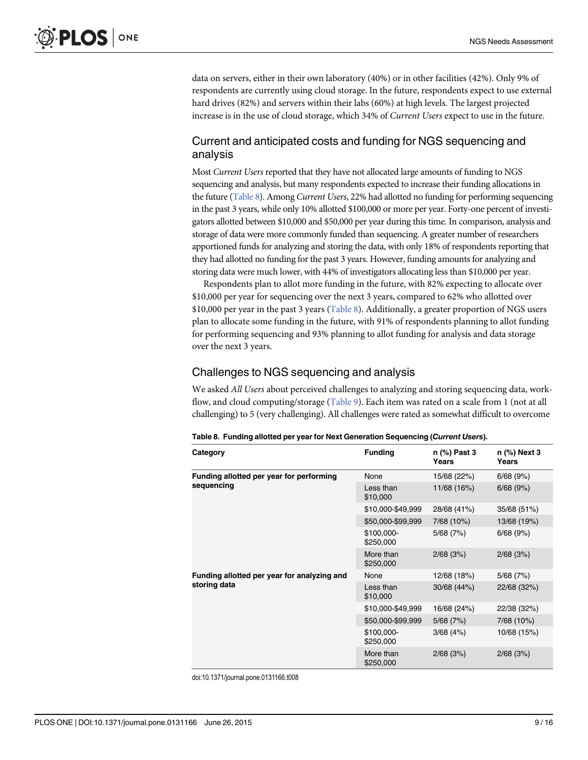<span id="page-8-0"></span>data on servers, either in their own laboratory (40%) or in other facilities (42%). Only 9% of respondents are currently using cloud storage. In the future, respondents expect to use external hard drives (82%) and servers within their labs (60%) at high levels. The largest projected increase is in the use of cloud storage, which 34% of Current Users expect to use in the future.

#### Current and anticipated costs and funding for NGS sequencing and analysis

Most Current Users reported that they have not allocated large amounts of funding to NGS sequencing and analysis, but many respondents expected to increase their funding allocations in the future (Table 8). Among Current Users, 22% had allotted no funding for performing sequencing in the past 3 years, while only 10% allotted \$100,000 or more per year. Forty-one percent of investigators allotted between \$10,000 and \$50,000 per year during this time. In comparison, analysis and storage of data were more commonly funded than sequencing. A greater number of researchers apportioned funds for analyzing and storing the data, with only 18% of respondents reporting that they had allotted no funding for the past 3 years. However, funding amounts for analyzing and storing data were much lower, with 44% of investigators allocating less than \$10,000 per year.

Respondents plan to allot more funding in the future, with 82% expecting to allocate over \$10,000 per year for sequencing over the next 3 years, compared to 62% who allotted over \$10,000 per year in the past 3 years (Table 8). Additionally, a greater proportion of NGS users plan to allocate some funding in the future, with 91% of respondents planning to allot funding for performing sequencing and 93% planning to allot funding for analysis and data storage over the next 3 years.

#### Challenges to NGS sequencing and analysis

We asked All Users about perceived challenges to analyzing and storing sequencing data, workflow, and cloud computing/storage ([Table 9](#page-9-0)). Each item was rated on a scale from 1 (not at all challenging) to 5 (very challenging). All challenges were rated as somewhat difficult to overcome

| Category                                    | <b>Funding</b>                   | n (%) Past 3<br>Years | n (%) Next 3<br>Years |
|---------------------------------------------|----------------------------------|-----------------------|-----------------------|
| Funding allotted per year for performing    | None                             | 15/68 (22%)           | 6/68(9%)              |
| sequencing                                  | Less than<br>\$10,000            | 11/68 (16%)           | 6/68(9%)              |
|                                             | \$10,000-\$49,999<br>28/68 (41%) | 35/68 (51%)           |                       |
|                                             | \$50,000-\$99,999                | 7/68 (10%)            | 13/68 (19%)           |
|                                             | \$100,000-<br>\$250,000          | 5/68(7%)              | 6/68(9%)              |
|                                             | More than<br>\$250,000           | 2/68(3%)              | 2/68(3%)              |
| Funding allotted per year for analyzing and | None                             | 12/68 (18%)           | 5/68(7%)              |
| storing data                                | Less than<br>\$10,000            | 30/68 (44%)           | 22/68 (32%)           |
|                                             | \$10,000-\$49,999                | 16/68 (24%)           | 22/38 (32%)           |
|                                             | \$50,000-\$99,999                | 5/68(7%)              | 7/68 (10%)            |
|                                             | \$100,000-<br>\$250,000          | 3/68(4%)              | 10/68 (15%)           |
|                                             | More than<br>\$250,000           | 2/68(3%)              | 2/68(3%)              |

Table 8. Funding allotted per year for Next Generation Sequencing (Current Users).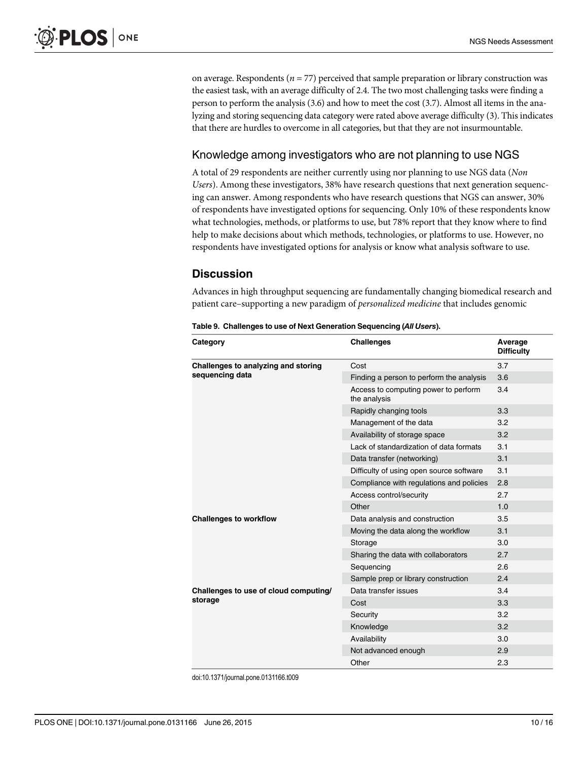<span id="page-9-0"></span>on average. Respondents ( $n = 77$ ) perceived that sample preparation or library construction was the easiest task, with an average difficulty of 2.4. The two most challenging tasks were finding a person to perform the analysis (3.6) and how to meet the cost (3.7). Almost all items in the analyzing and storing sequencing data category were rated above average difficulty (3). This indicates that there are hurdles to overcome in all categories, but that they are not insurmountable.

# Knowledge among investigators who are not planning to use NGS

A total of 29 respondents are neither currently using nor planning to use NGS data (Non Users). Among these investigators, 38% have research questions that next generation sequencing can answer. Among respondents who have research questions that NGS can answer, 30% of respondents have investigated options for sequencing. Only 10% of these respondents know what technologies, methods, or platforms to use, but 78% report that they know where to find help to make decisions about which methods, technologies, or platforms to use. However, no respondents have investigated options for analysis or know what analysis software to use.

# **Discussion**

Advances in high throughput sequencing are fundamentally changing biomedical research and patient care–supporting a new paradigm of personalized medicine that includes genomic

| Table 9. Challenges to use of Next Generation Sequencing (All Users). |  |  |  |
|-----------------------------------------------------------------------|--|--|--|
|-----------------------------------------------------------------------|--|--|--|

| Category                                               | <b>Challenges</b>                                    | Average<br><b>Difficulty</b> |
|--------------------------------------------------------|------------------------------------------------------|------------------------------|
| Challenges to analyzing and storing<br>sequencing data | Cost                                                 | 3.7                          |
|                                                        | Finding a person to perform the analysis             | 3.6                          |
|                                                        | Access to computing power to perform<br>the analysis | 3.4                          |
|                                                        | Rapidly changing tools                               | 3.3                          |
|                                                        | Management of the data                               | 3.2                          |
|                                                        | Availability of storage space                        | 3.2                          |
|                                                        | Lack of standardization of data formats              | 3.1                          |
|                                                        | Data transfer (networking)                           | 3.1                          |
|                                                        | Difficulty of using open source software             | 3.1                          |
|                                                        | Compliance with regulations and policies             | 2.8                          |
|                                                        | Access control/security                              | 2.7                          |
|                                                        | Other                                                | 1.0                          |
| <b>Challenges to workflow</b>                          | Data analysis and construction                       | 3.5                          |
|                                                        | Moving the data along the workflow                   | 3.1                          |
|                                                        | Storage                                              | 3.0                          |
|                                                        | Sharing the data with collaborators                  | 2.7                          |
|                                                        | Sequencing                                           | 2.6                          |
|                                                        | Sample prep or library construction                  | 2.4                          |
| Challenges to use of cloud computing/                  | Data transfer issues                                 | 3.4                          |
| storage                                                | Cost                                                 | 3.3                          |
|                                                        | Security                                             | 3.2                          |
|                                                        | Knowledge                                            | 3.2                          |
|                                                        | Availability                                         | 3.0                          |
|                                                        | Not advanced enough                                  | 2.9                          |
|                                                        | Other                                                | 2.3                          |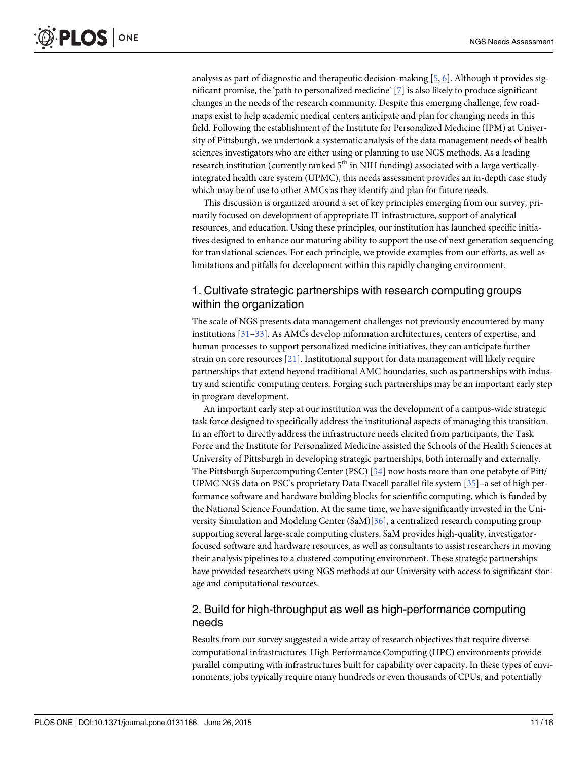<span id="page-10-0"></span>analysis as part of diagnostic and therapeutic decision-making  $[5, 6]$  $[5, 6]$  $[5, 6]$  $[5, 6]$ . Although it provides significant promise, the 'path to personalized medicine' [[7](#page-14-0)] is also likely to produce significant changes in the needs of the research community. Despite this emerging challenge, few roadmaps exist to help academic medical centers anticipate and plan for changing needs in this field. Following the establishment of the Institute for Personalized Medicine (IPM) at University of Pittsburgh, we undertook a systematic analysis of the data management needs of health sciences investigators who are either using or planning to use NGS methods. As a leading research institution (currently ranked  $5<sup>th</sup>$  in NIH funding) associated with a large verticallyintegrated health care system (UPMC), this needs assessment provides an in-depth case study which may be of use to other AMCs as they identify and plan for future needs.

This discussion is organized around a set of key principles emerging from our survey, primarily focused on development of appropriate IT infrastructure, support of analytical resources, and education. Using these principles, our institution has launched specific initiatives designed to enhance our maturing ability to support the use of next generation sequencing for translational sciences. For each principle, we provide examples from our efforts, as well as limitations and pitfalls for development within this rapidly changing environment.

#### 1. Cultivate strategic partnerships with research computing groups within the organization

The scale of NGS presents data management challenges not previously encountered by many institutions [[31](#page-15-0)–[33](#page-15-0)]. As AMCs develop information architectures, centers of expertise, and human processes to support personalized medicine initiatives, they can anticipate further strain on core resources [[21](#page-14-0)]. Institutional support for data management will likely require partnerships that extend beyond traditional AMC boundaries, such as partnerships with industry and scientific computing centers. Forging such partnerships may be an important early step in program development.

An important early step at our institution was the development of a campus-wide strategic task force designed to specifically address the institutional aspects of managing this transition. In an effort to directly address the infrastructure needs elicited from participants, the Task Force and the Institute for Personalized Medicine assisted the Schools of the Health Sciences at University of Pittsburgh in developing strategic partnerships, both internally and externally. The Pittsburgh Supercomputing Center (PSC) [[34](#page-15-0)] now hosts more than one petabyte of Pitt/ UPMC NGS data on PSC's proprietary Data Exacell parallel file system  $[35]$ –a set of high performance software and hardware building blocks for scientific computing, which is funded by the National Science Foundation. At the same time, we have significantly invested in the University Simulation and Modeling Center (SaM)[\[36](#page-15-0)], a centralized research computing group supporting several large-scale computing clusters. SaM provides high-quality, investigatorfocused software and hardware resources, as well as consultants to assist researchers in moving their analysis pipelines to a clustered computing environment. These strategic partnerships have provided researchers using NGS methods at our University with access to significant storage and computational resources.

# 2. Build for high-throughput as well as high-performance computing needs

Results from our survey suggested a wide array of research objectives that require diverse computational infrastructures. High Performance Computing (HPC) environments provide parallel computing with infrastructures built for capability over capacity. In these types of environments, jobs typically require many hundreds or even thousands of CPUs, and potentially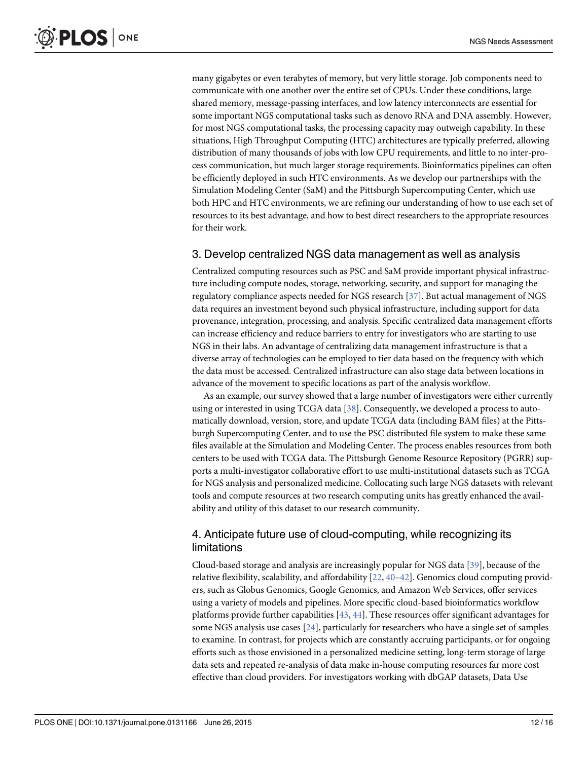<span id="page-11-0"></span>many gigabytes or even terabytes of memory, but very little storage. Job components need to communicate with one another over the entire set of CPUs. Under these conditions, large shared memory, message-passing interfaces, and low latency interconnects are essential for some important NGS computational tasks such as denovo RNA and DNA assembly. However, for most NGS computational tasks, the processing capacity may outweigh capability. In these situations, High Throughput Computing (HTC) architectures are typically preferred, allowing distribution of many thousands of jobs with low CPU requirements, and little to no inter-process communication, but much larger storage requirements. Bioinformatics pipelines can often be efficiently deployed in such HTC environments. As we develop our partnerships with the Simulation Modeling Center (SaM) and the Pittsburgh Supercomputing Center, which use both HPC and HTC environments, we are refining our understanding of how to use each set of resources to its best advantage, and how to best direct researchers to the appropriate resources for their work.

#### 3. Develop centralized NGS data management as well as analysis

Centralized computing resources such as PSC and SaM provide important physical infrastructure including compute nodes, storage, networking, security, and support for managing the regulatory compliance aspects needed for NGS research [[37\]](#page-15-0). But actual management of NGS data requires an investment beyond such physical infrastructure, including support for data provenance, integration, processing, and analysis. Specific centralized data management efforts can increase efficiency and reduce barriers to entry for investigators who are starting to use NGS in their labs. An advantage of centralizing data management infrastructure is that a diverse array of technologies can be employed to tier data based on the frequency with which the data must be accessed. Centralized infrastructure can also stage data between locations in advance of the movement to specific locations as part of the analysis workflow.

As an example, our survey showed that a large number of investigators were either currently using or interested in using TCGA data [\[38\]](#page-15-0). Consequently, we developed a process to automatically download, version, store, and update TCGA data (including BAM files) at the Pittsburgh Supercomputing Center, and to use the PSC distributed file system to make these same files available at the Simulation and Modeling Center. The process enables resources from both centers to be used with TCGA data. The Pittsburgh Genome Resource Repository (PGRR) supports a multi-investigator collaborative effort to use multi-institutional datasets such as TCGA for NGS analysis and personalized medicine. Collocating such large NGS datasets with relevant tools and compute resources at two research computing units has greatly enhanced the availability and utility of this dataset to our research community.

# 4. Anticipate future use of cloud-computing, while recognizing its limitations

Cloud-based storage and analysis are increasingly popular for NGS data [\[39](#page-15-0)], because of the relative flexibility, scalability, and affordability [\[22,](#page-14-0) [40](#page-15-0)–[42](#page-15-0)]. Genomics cloud computing providers, such as Globus Genomics, Google Genomics, and Amazon Web Services, offer services using a variety of models and pipelines. More specific cloud-based bioinformatics workflow platforms provide further capabilities [\[43](#page-15-0), [44](#page-15-0)]. These resources offer significant advantages for some NGS analysis use cases  $[24]$  $[24]$  $[24]$ , particularly for researchers who have a single set of samples to examine. In contrast, for projects which are constantly accruing participants, or for ongoing efforts such as those envisioned in a personalized medicine setting, long-term storage of large data sets and repeated re-analysis of data make in-house computing resources far more cost effective than cloud providers. For investigators working with dbGAP datasets, Data Use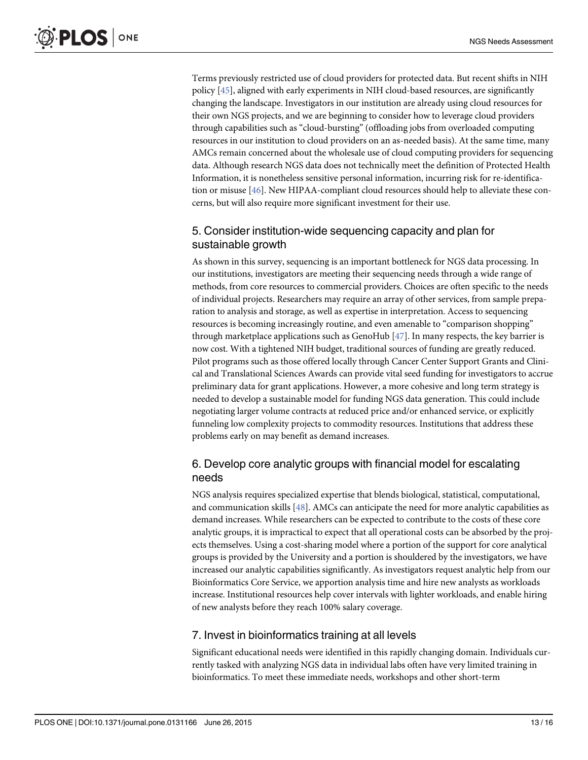<span id="page-12-0"></span>Terms previously restricted use of cloud providers for protected data. But recent shifts in NIH policy [[45](#page-15-0)], aligned with early experiments in NIH cloud-based resources, are significantly changing the landscape. Investigators in our institution are already using cloud resources for their own NGS projects, and we are beginning to consider how to leverage cloud providers through capabilities such as "cloud-bursting" (offloading jobs from overloaded computing resources in our institution to cloud providers on an as-needed basis). At the same time, many AMCs remain concerned about the wholesale use of cloud computing providers for sequencing data. Although research NGS data does not technically meet the definition of Protected Health Information, it is nonetheless sensitive personal information, incurring risk for re-identification or misuse [\[46\]](#page-15-0). New HIPAA-compliant cloud resources should help to alleviate these concerns, but will also require more significant investment for their use.

# 5. Consider institution-wide sequencing capacity and plan for sustainable growth

As shown in this survey, sequencing is an important bottleneck for NGS data processing. In our institutions, investigators are meeting their sequencing needs through a wide range of methods, from core resources to commercial providers. Choices are often specific to the needs of individual projects. Researchers may require an array of other services, from sample preparation to analysis and storage, as well as expertise in interpretation. Access to sequencing resources is becoming increasingly routine, and even amenable to "comparison shopping" through marketplace applications such as GenoHub  $[47]$  $[47]$  $[47]$ . In many respects, the key barrier is now cost. With a tightened NIH budget, traditional sources of funding are greatly reduced. Pilot programs such as those offered locally through Cancer Center Support Grants and Clinical and Translational Sciences Awards can provide vital seed funding for investigators to accrue preliminary data for grant applications. However, a more cohesive and long term strategy is needed to develop a sustainable model for funding NGS data generation. This could include negotiating larger volume contracts at reduced price and/or enhanced service, or explicitly funneling low complexity projects to commodity resources. Institutions that address these problems early on may benefit as demand increases.

# 6. Develop core analytic groups with financial model for escalating needs

NGS analysis requires specialized expertise that blends biological, statistical, computational, and communication skills  $[48]$ . AMCs can anticipate the need for more analytic capabilities as demand increases. While researchers can be expected to contribute to the costs of these core analytic groups, it is impractical to expect that all operational costs can be absorbed by the projects themselves. Using a cost-sharing model where a portion of the support for core analytical groups is provided by the University and a portion is shouldered by the investigators, we have increased our analytic capabilities significantly. As investigators request analytic help from our Bioinformatics Core Service, we apportion analysis time and hire new analysts as workloads increase. Institutional resources help cover intervals with lighter workloads, and enable hiring of new analysts before they reach 100% salary coverage.

# 7. Invest in bioinformatics training at all levels

Significant educational needs were identified in this rapidly changing domain. Individuals currently tasked with analyzing NGS data in individual labs often have very limited training in bioinformatics. To meet these immediate needs, workshops and other short-term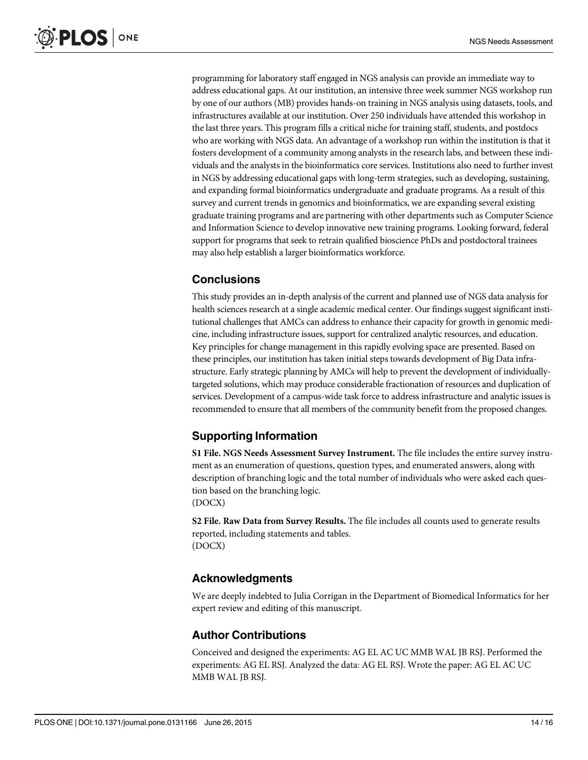<span id="page-13-0"></span>programming for laboratory staff engaged in NGS analysis can provide an immediate way to address educational gaps. At our institution, an intensive three week summer NGS workshop run by one of our authors (MB) provides hands-on training in NGS analysis using datasets, tools, and infrastructures available at our institution. Over 250 individuals have attended this workshop in the last three years. This program fills a critical niche for training staff, students, and postdocs who are working with NGS data. An advantage of a workshop run within the institution is that it fosters development of a community among analysts in the research labs, and between these individuals and the analysts in the bioinformatics core services. Institutions also need to further invest in NGS by addressing educational gaps with long-term strategies, such as developing, sustaining, and expanding formal bioinformatics undergraduate and graduate programs. As a result of this survey and current trends in genomics and bioinformatics, we are expanding several existing graduate training programs and are partnering with other departments such as Computer Science and Information Science to develop innovative new training programs. Looking forward, federal support for programs that seek to retrain qualified bioscience PhDs and postdoctoral trainees may also help establish a larger bioinformatics workforce.

# **Conclusions**

This study provides an in-depth analysis of the current and planned use of NGS data analysis for health sciences research at a single academic medical center. Our findings suggest significant institutional challenges that AMCs can address to enhance their capacity for growth in genomic medicine, including infrastructure issues, support for centralized analytic resources, and education. Key principles for change management in this rapidly evolving space are presented. Based on these principles, our institution has taken initial steps towards development of Big Data infrastructure. Early strategic planning by AMCs will help to prevent the development of individuallytargeted solutions, which may produce considerable fractionation of resources and duplication of services. Development of a campus-wide task force to address infrastructure and analytic issues is recommended to ensure that all members of the community benefit from the proposed changes.

# Supporting Information

[S1 File.](http://www.plosone.org/article/fetchSingleRepresentation.action?uri=info:doi/10.1371/journal.pone.0131166.s001) NGS Needs Assessment Survey Instrument. The file includes the entire survey instrument as an enumeration of questions, question types, and enumerated answers, along with description of branching logic and the total number of individuals who were asked each question based on the branching logic. (DOCX)

[S2 File.](http://www.plosone.org/article/fetchSingleRepresentation.action?uri=info:doi/10.1371/journal.pone.0131166.s002) Raw Data from Survey Results. The file includes all counts used to generate results reported, including statements and tables. (DOCX)

#### Acknowledgments

We are deeply indebted to Julia Corrigan in the Department of Biomedical Informatics for her expert review and editing of this manuscript.

#### Author Contributions

Conceived and designed the experiments: AG EL AC UC MMB WAL JB RSJ. Performed the experiments: AG EL RSJ. Analyzed the data: AG EL RSJ. Wrote the paper: AG EL AC UC MMB WAL JB RSJ.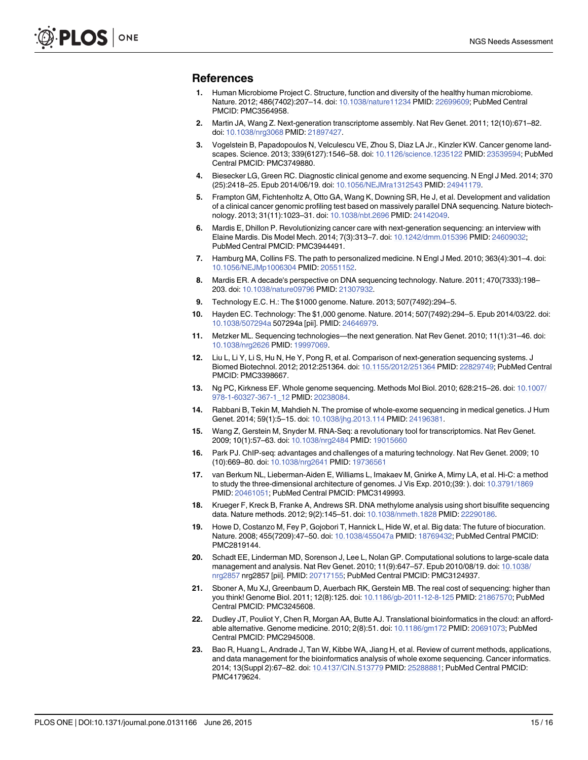#### <span id="page-14-0"></span>References

- [1.](#page-0-0) Human Microbiome Project C. Structure, function and diversity of the healthy human microbiome. Nature. 2012; 486(7402):207–14. doi: [10.1038/nature11234](http://dx.doi.org/10.1038/nature11234) PMID: [22699609;](http://www.ncbi.nlm.nih.gov/pubmed/22699609) PubMed Central PMCID: PMC3564958.
- [2.](#page-0-0) Martin JA, Wang Z. Next-generation transcriptome assembly. Nat Rev Genet. 2011; 12(10):671–82. doi: [10.1038/nrg3068](http://dx.doi.org/10.1038/nrg3068) PMID: [21897427.](http://www.ncbi.nlm.nih.gov/pubmed/21897427)
- [3.](#page-1-0) Vogelstein B, Papadopoulos N, Velculescu VE, Zhou S, Diaz LA Jr., Kinzler KW. Cancer genome landscapes. Science. 2013; 339(6127):1546–58. doi: [10.1126/science.1235122](http://dx.doi.org/10.1126/science.1235122) PMID: [23539594](http://www.ncbi.nlm.nih.gov/pubmed/23539594); PubMed Central PMCID: PMC3749880.
- [4.](#page-1-0) Biesecker LG, Green RC. Diagnostic clinical genome and exome sequencing. N Engl J Med. 2014; 370 (25):2418–25. Epub 2014/06/19. doi: [10.1056/NEJMra1312543](http://dx.doi.org/10.1056/NEJMra1312543) PMID: [24941179.](http://www.ncbi.nlm.nih.gov/pubmed/24941179)
- [5.](#page-1-0) Frampton GM, Fichtenholtz A, Otto GA, Wang K, Downing SR, He J, et al. Development and validation of a clinical cancer genomic profiling test based on massively parallel DNA sequencing. Nature biotechnology. 2013; 31(11):1023–31. doi: [10.1038/nbt.2696](http://dx.doi.org/10.1038/nbt.2696) PMID: [24142049](http://www.ncbi.nlm.nih.gov/pubmed/24142049).
- [6.](#page-1-0) Mardis E, Dhillon P. Revolutionizing cancer care with next-generation sequencing: an interview with Elaine Mardis. Dis Model Mech. 2014; 7(3):313–7. doi: [10.1242/dmm.015396](http://dx.doi.org/10.1242/dmm.015396) PMID: [24609032;](http://www.ncbi.nlm.nih.gov/pubmed/24609032) PubMed Central PMCID: PMC3944491.
- [7.](#page-1-0) Hamburg MA, Collins FS. The path to personalized medicine. N Engl J Med. 2010; 363(4):301–4. doi: [10.1056/NEJMp1006304](http://dx.doi.org/10.1056/NEJMp1006304) PMID: [20551152](http://www.ncbi.nlm.nih.gov/pubmed/20551152).
- [8.](#page-1-0) Mardis ER. A decade's perspective on DNA sequencing technology. Nature. 2011; 470(7333):198– 203. doi: [10.1038/nature09796](http://dx.doi.org/10.1038/nature09796) PMID: [21307932](http://www.ncbi.nlm.nih.gov/pubmed/21307932).
- [9.](#page-1-0) Technology E.C. H.: The \$1000 genome. Nature. 2013; 507(7492):294–5.
- [10.](#page-1-0) Hayden EC. Technology: The \$1,000 genome. Nature. 2014; 507(7492):294–5. Epub 2014/03/22. doi: [10.1038/507294a](http://dx.doi.org/10.1038/507294a) 507294a [pii]. PMID: [24646979.](http://www.ncbi.nlm.nih.gov/pubmed/24646979)
- [11.](#page-1-0) Metzker ML. Sequencing technologies—the next generation. Nat Rev Genet. 2010; 11(1):31–46. doi: [10.1038/nrg2626](http://dx.doi.org/10.1038/nrg2626) PMID: [19997069](http://www.ncbi.nlm.nih.gov/pubmed/19997069).
- [12.](#page-1-0) Liu L, Li Y, Li S, Hu N, He Y, Pong R, et al. Comparison of next-generation sequencing systems. J Biomed Biotechnol. 2012; 2012:251364. doi: [10.1155/2012/251364](http://dx.doi.org/10.1155/2012/251364) PMID: [22829749](http://www.ncbi.nlm.nih.gov/pubmed/22829749); PubMed Central PMCID: PMC3398667.
- [13.](#page-1-0) Ng PC, Kirkness EF. Whole genome sequencing. Methods Mol Biol. 2010; 628:215–26. doi: [10.1007/](http://dx.doi.org/10.1007/978-1-60327-367-1_12) [978-1-60327-367-1\\_12](http://dx.doi.org/10.1007/978-1-60327-367-1_12) PMID: [20238084](http://www.ncbi.nlm.nih.gov/pubmed/20238084).
- [14.](#page-1-0) Rabbani B, Tekin M, Mahdieh N. The promise of whole-exome sequencing in medical genetics. J Hum Genet. 2014; 59(1):5-15. doi: [10.1038/jhg.2013.114](http://dx.doi.org/10.1038/jhg.2013.114) PMID: 24196381
- [15.](#page-1-0) Wang Z, Gerstein M, Snyder M. RNA-Seq: a revolutionary tool for transcriptomics. Nat Rev Genet. 2009; 10(1):57–63. doi: [10.1038/nrg2484](http://dx.doi.org/10.1038/nrg2484) PMID: [19015660](http://www.ncbi.nlm.nih.gov/pubmed/19015660)
- [16.](#page-1-0) Park PJ. ChIP-seq: advantages and challenges of a maturing technology. Nat Rev Genet. 2009; 10 (10):669–80. doi: [10.1038/nrg2641](http://dx.doi.org/10.1038/nrg2641) PMID: [19736561](http://www.ncbi.nlm.nih.gov/pubmed/19736561)
- [17.](#page-1-0) van Berkum NL, Lieberman-Aiden E, Williams L, Imakaev M, Gnirke A, Mirny LA, et al. Hi-C: a method to study the three-dimensional architecture of genomes. J Vis Exp. 2010;(39: ). doi: [10.3791/1869](http://dx.doi.org/10.3791/1869) PMID: [20461051;](http://www.ncbi.nlm.nih.gov/pubmed/20461051) PubMed Central PMCID: PMC3149993.
- [18.](#page-1-0) Krueger F, Kreck B, Franke A, Andrews SR. DNA methylome analysis using short bisulfite sequencing data. Nature methods. 2012; 9(2):145–51. doi: [10.1038/nmeth.1828](http://dx.doi.org/10.1038/nmeth.1828) PMID: [22290186.](http://www.ncbi.nlm.nih.gov/pubmed/22290186)
- [19.](#page-1-0) Howe D, Costanzo M, Fey P, Gojobori T, Hannick L, Hide W, et al. Big data: The future of biocuration. Nature. 2008; 455(7209):47–50. doi: [10.1038/455047a](http://dx.doi.org/10.1038/455047a) PMID: [18769432;](http://www.ncbi.nlm.nih.gov/pubmed/18769432) PubMed Central PMCID: PMC2819144.
- [20.](#page-1-0) Schadt EE, Linderman MD, Sorenson J, Lee L, Nolan GP. Computational solutions to large-scale data management and analysis. Nat Rev Genet. 2010; 11(9):647–57. Epub 2010/08/19. doi: [10.1038/](http://dx.doi.org/10.1038/nrg2857) [nrg2857](http://dx.doi.org/10.1038/nrg2857) nrg2857 [pii]. PMID: [20717155;](http://www.ncbi.nlm.nih.gov/pubmed/20717155) PubMed Central PMCID: PMC3124937.
- [21.](#page-1-0) Sboner A, Mu XJ, Greenbaum D, Auerbach RK, Gerstein MB. The real cost of sequencing: higher than you think! Genome Biol. 2011; 12(8):125. doi: [10.1186/gb-2011-12-8-125](http://dx.doi.org/10.1186/gb-2011-12-8-125) PMID: [21867570;](http://www.ncbi.nlm.nih.gov/pubmed/21867570) PubMed Central PMCID: PMC3245608.
- [22.](#page-1-0) Dudley JT, Pouliot Y, Chen R, Morgan AA, Butte AJ. Translational bioinformatics in the cloud: an affordable alternative. Genome medicine. 2010; 2(8):51. doi: [10.1186/gm172](http://dx.doi.org/10.1186/gm172) PMID: [20691073](http://www.ncbi.nlm.nih.gov/pubmed/20691073); PubMed Central PMCID: PMC2945008.
- 23. Bao R, Huang L, Andrade J, Tan W, Kibbe WA, Jiang H, et al. Review of current methods, applications, and data management for the bioinformatics analysis of whole exome sequencing. Cancer informatics. 2014; 13(Suppl 2):67–82. doi: [10.4137/CIN.S13779](http://dx.doi.org/10.4137/CIN.S13779) PMID: [25288881](http://www.ncbi.nlm.nih.gov/pubmed/25288881); PubMed Central PMCID: PMC4179624.